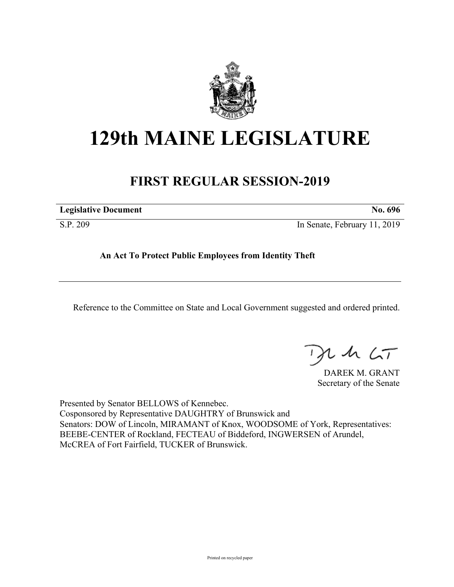

## **129th MAINE LEGISLATURE**

## **FIRST REGULAR SESSION-2019**

| <b>Legislative Document</b> | No. 696                      |
|-----------------------------|------------------------------|
| S.P. 209                    | In Senate, February 11, 2019 |

**An Act To Protect Public Employees from Identity Theft**

Reference to the Committee on State and Local Government suggested and ordered printed.

, in  $\zeta$ T

DAREK M. GRANT Secretary of the Senate

Presented by Senator BELLOWS of Kennebec. Cosponsored by Representative DAUGHTRY of Brunswick and Senators: DOW of Lincoln, MIRAMANT of Knox, WOODSOME of York, Representatives: BEEBE-CENTER of Rockland, FECTEAU of Biddeford, INGWERSEN of Arundel, McCREA of Fort Fairfield, TUCKER of Brunswick.